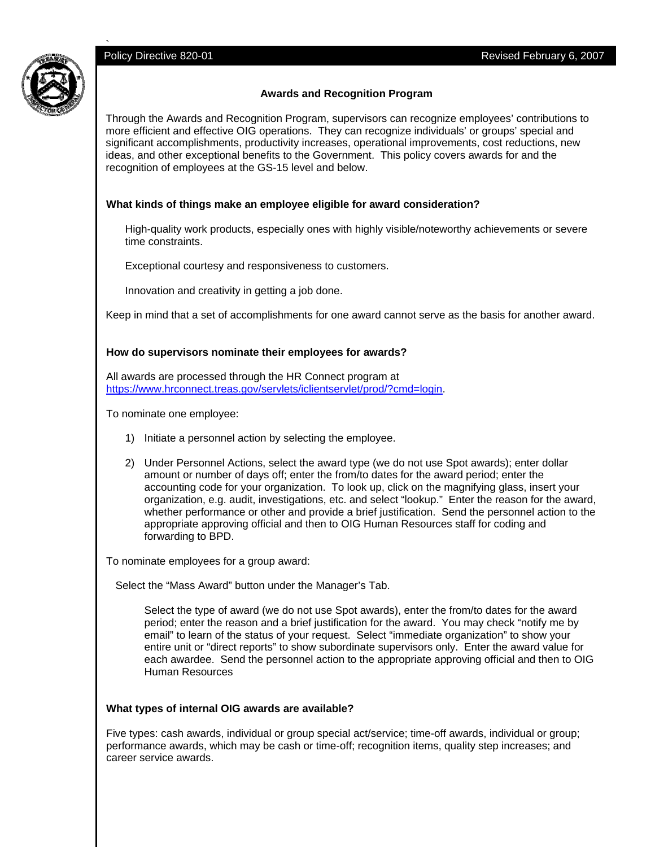

# **Awards and Recognition Program**

Through the Awards and Recognition Program, supervisors can recognize employees' contributions to more efficient and effective OIG operations. They can recognize individuals' or groups' special and significant accomplishments, productivity increases, operational improvements, cost reductions, new ideas, and other exceptional benefits to the Government. This policy covers awards for and the recognition of employees at the GS-15 level and below.

### **What kinds of things make an employee eligible for award consideration?**

High-quality work products, especially ones with highly visible/noteworthy achievements or severe time constraints.

Exceptional courtesy and responsiveness to customers.

Innovation and creativity in getting a job done.

Keep in mind that a set of accomplishments for one award cannot serve as the basis for another award.

#### **How do supervisors nominate their employees for awards?**

All awards are processed through the HR Connect program at https://www.hrconnect.treas.gov/servlets/iclientservlet/prod/?cmd=login.

To nominate one employee:

- 1) Initiate a personnel action by selecting the employee.
- 2) Under Personnel Actions, select the award type (we do not use Spot awards); enter dollar amount or number of days off; enter the from/to dates for the award period; enter the accounting code for your organization. To look up, click on the magnifying glass, insert your organization, e.g. audit, investigations, etc. and select "lookup." Enter the reason for the award, whether performance or other and provide a brief justification. Send the personnel action to the appropriate approving official and then to OIG Human Resources staff for coding and forwarding to BPD.

To nominate employees for a group award:

Select the "Mass Award" button under the Manager's Tab.

Select the type of award (we do not use Spot awards), enter the from/to dates for the award period; enter the reason and a brief justification for the award. You may check "notify me by email" to learn of the status of your request. Select "immediate organization" to show your entire unit or "direct reports" to show subordinate supervisors only. Enter the award value for each awardee. Send the personnel action to the appropriate approving official and then to OIG Human Resources

#### **What types of internal OIG awards are available?**

Five types: cash awards, individual or group special act/service; time-off awards, individual or group; performance awards, which may be cash or time-off; recognition items, quality step increases; and career service awards.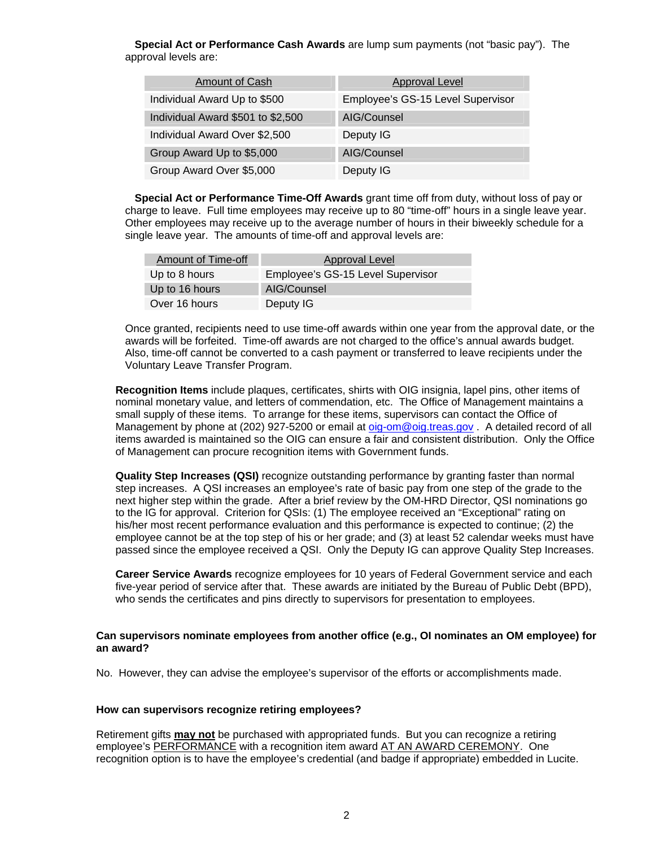**Special Act or Performance Cash Awards** are lump sum payments (not "basic pay"). The approval levels are:

| <b>Amount of Cash</b>             | <b>Approval Level</b>             |
|-----------------------------------|-----------------------------------|
| Individual Award Up to \$500      | Employee's GS-15 Level Supervisor |
| Individual Award \$501 to \$2,500 | AIG/Counsel                       |
| Individual Award Over \$2,500     | Deputy IG                         |
| Group Award Up to \$5,000         | AIG/Counsel                       |
| Group Award Over \$5,000          | Deputy IG                         |

**Special Act or Performance Time-Off Awards** grant time off from duty, without loss of pay or charge to leave. Full time employees may receive up to 80 "time-off" hours in a single leave year. Other employees may receive up to the average number of hours in their biweekly schedule for a single leave year. The amounts of time-off and approval levels are:

| Amount of Time-off | <b>Approval Level</b>             |
|--------------------|-----------------------------------|
| Up to 8 hours      | Employee's GS-15 Level Supervisor |
| Up to 16 hours     | AIG/Counsel                       |
| Over 16 hours      | Deputy IG                         |

Once granted, recipients need to use time-off awards within one year from the approval date, or the awards will be forfeited. Time-off awards are not charged to the office's annual awards budget. Also, time-off cannot be converted to a cash payment or transferred to leave recipients under the Voluntary Leave Transfer Program.

**Recognition Items** include plaques, certificates, shirts with OIG insignia, lapel pins, other items of nominal monetary value, and letters of commendation, etc. The Office of Management maintains a small supply of these items. To arrange for these items, supervisors can contact the Office of Management by phone at (202) 927-5200 or email at oig-om@oig.treas.gov. A detailed record of all items awarded is maintained so the OIG can ensure a fair and consistent distribution. Only the Office of Management can procure recognition items with Government funds.

**Quality Step Increases (QSI)** recognize outstanding performance by granting faster than normal step increases. A QSI increases an employee's rate of basic pay from one step of the grade to the next higher step within the grade. After a brief review by the OM-HRD Director, QSI nominations go to the IG for approval. Criterion for QSIs: (1) The employee received an "Exceptional" rating on his/her most recent performance evaluation and this performance is expected to continue; (2) the employee cannot be at the top step of his or her grade; and (3) at least 52 calendar weeks must have passed since the employee received a QSI. Only the Deputy IG can approve Quality Step Increases.

**Career Service Awards** recognize employees for 10 years of Federal Government service and each five-year period of service after that. These awards are initiated by the Bureau of Public Debt (BPD), who sends the certificates and pins directly to supervisors for presentation to employees.

#### **Can supervisors nominate employees from another office (e.g., OI nominates an OM employee) for an award?**

No. However, they can advise the employee's supervisor of the efforts or accomplishments made.

### **How can supervisors recognize retiring employees?**

Retirement gifts **may not** be purchased with appropriated funds. But you can recognize a retiring employee's PERFORMANCE with a recognition item award AT AN AWARD CEREMONY. One recognition option is to have the employee's credential (and badge if appropriate) embedded in Lucite.